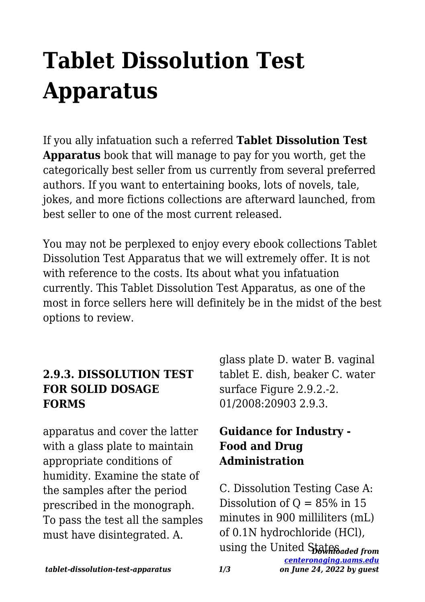# **Tablet Dissolution Test Apparatus**

If you ally infatuation such a referred **Tablet Dissolution Test Apparatus** book that will manage to pay for you worth, get the categorically best seller from us currently from several preferred authors. If you want to entertaining books, lots of novels, tale, jokes, and more fictions collections are afterward launched, from best seller to one of the most current released.

You may not be perplexed to enjoy every ebook collections Tablet Dissolution Test Apparatus that we will extremely offer. It is not with reference to the costs. Its about what you infatuation currently. This Tablet Dissolution Test Apparatus, as one of the most in force sellers here will definitely be in the midst of the best options to review.

## **2.9.3. DISSOLUTION TEST FOR SOLID DOSAGE FORMS**

apparatus and cover the latter with a glass plate to maintain appropriate conditions of humidity. Examine the state of the samples after the period prescribed in the monograph. To pass the test all the samples must have disintegrated. A.

glass plate D. water B. vaginal tablet E. dish, beaker C. water surface Figure 2.9.2.-2. 01/2008:20903 2.9.3.

## **Guidance for Industry - Food and Drug Administration**

using the United State Saded from *[centeronaging.uams.edu](http://centeronaging.uams.edu) on June 24, 2022 by guest* C. Dissolution Testing Case A: Dissolution of  $Q = 85\%$  in 15 minutes in 900 milliliters (mL) of 0.1N hydrochloride (HCl),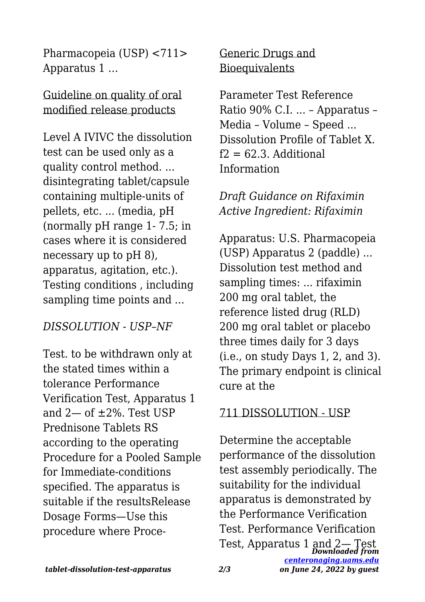Pharmacopeia (USP) <711> Apparatus 1 …

Guideline on quality of oral modified release products

Level A IVIVC the dissolution test can be used only as a quality control method. ... disintegrating tablet/capsule containing multiple-units of pellets, etc. ... (media, pH (normally pH range 1- 7.5; in cases where it is considered necessary up to pH 8), apparatus, agitation, etc.). Testing conditions , including sampling time points and ...

### *DISSOLUTION - USP–NF*

Test. to be withdrawn only at the stated times within a tolerance Performance Verification Test, Apparatus 1 and 2— of ±2%. Test USP Prednisone Tablets RS according to the operating Procedure for a Pooled Sample for Immediate-conditions specified. The apparatus is suitable if the resultsRelease Dosage Forms—Use this procedure where ProceGeneric Drugs and **Bioequivalents** 

Parameter Test Reference Ratio 90% C.I. ... – Apparatus – Media – Volume – Speed ... Dissolution Profile of Tablet X.  $f2 = 62.3$  Additional Information

*Draft Guidance on Rifaximin Active Ingredient: Rifaximin*

Apparatus: U.S. Pharmacopeia (USP) Apparatus 2 (paddle) ... Dissolution test method and sampling times: ... rifaximin 200 mg oral tablet, the reference listed drug (RLD) 200 mg oral tablet or placebo three times daily for 3 days (i.e., on study Days 1, 2, and 3). The primary endpoint is clinical cure at the

#### 711 DISSOLUTION - USP

*Downloaded from* Test, Apparatus 1 and 2— Test*[centeronaging.uams.edu](http://centeronaging.uams.edu)* Determine the acceptable performance of the dissolution test assembly periodically. The suitability for the individual apparatus is demonstrated by the Performance Verification Test. Performance Verification